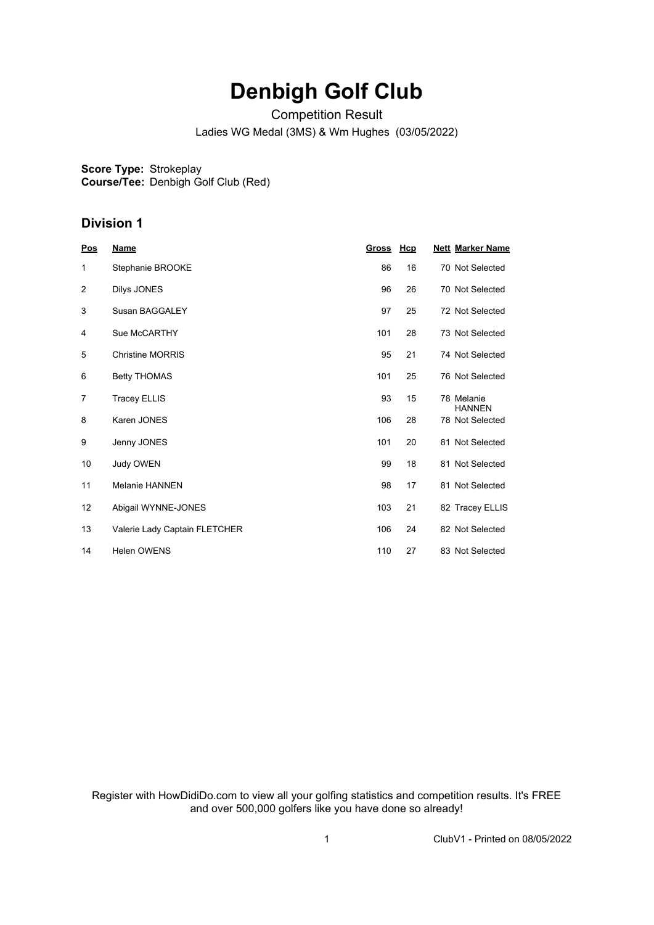# **Denbigh Golf Club**

Competition Result

Ladies WG Medal (3MS) & Wm Hughes (03/05/2022)

**Score Type:** Strokeplay **Course/Tee:** Denbigh Golf Club (Red)

#### **Division 1**

| Pos            | <b>Name</b>                   | <u>Gross</u> | Hcp | <b>Nett Marker Name</b>     |
|----------------|-------------------------------|--------------|-----|-----------------------------|
| 1              | Stephanie BROOKE              | 86           | 16  | 70 Not Selected             |
| 2              | Dilys JONES                   | 96           | 26  | 70 Not Selected             |
| 3              | Susan BAGGALEY                | 97           | 25  | 72 Not Selected             |
| 4              | Sue McCARTHY                  | 101          | 28  | 73 Not Selected             |
| 5              | <b>Christine MORRIS</b>       | 95           | 21  | 74 Not Selected             |
| 6              | <b>Betty THOMAS</b>           | 101          | 25  | 76 Not Selected             |
| $\overline{7}$ | <b>Tracey ELLIS</b>           | 93           | 15  | 78 Melanie<br><b>HANNEN</b> |
| 8              | Karen JONES                   | 106          | 28  | 78 Not Selected             |
| 9              | Jenny JONES                   | 101          | 20  | 81 Not Selected             |
| 10             | Judy OWEN                     | 99           | 18  | 81 Not Selected             |
| 11             | <b>Melanie HANNEN</b>         | 98           | 17  | 81 Not Selected             |
| 12             | Abigail WYNNE-JONES           | 103          | 21  | 82 Tracey ELLIS             |
| 13             | Valerie Lady Captain FLETCHER | 106          | 24  | 82 Not Selected             |
| 14             | <b>Helen OWENS</b>            | 110          | 27  | 83 Not Selected             |

Register with HowDidiDo.com to view all your golfing statistics and competition results. It's FREE and over 500,000 golfers like you have done so already!